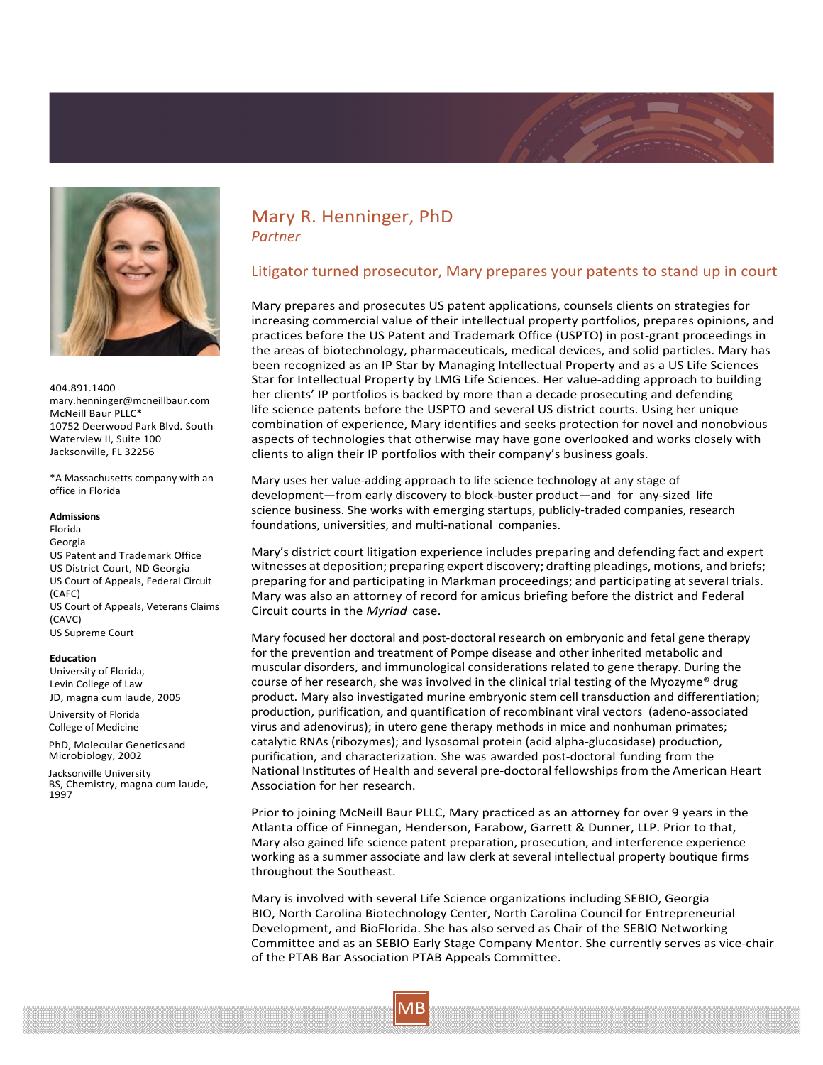



404.891.1400 mary.henninger@mcneillbaur.com McNeill Baur PLLC\* 10752 Deerwood Park Blvd. South Waterview II, Suite 100 Jacksonville, FL 32256

\*A Massachusetts company with an office in Florida

### **Admissions**

Florida Georgia US Patent and Trademark Office US District Court, ND Georgia US Court of Appeals, Federal Circuit (CAFC) US Court of Appeals, Veterans Claims (CAVC) US Supreme Court

#### **Education**

University of Florida, Levin College of Law JD, magna cum laude, 2005

University of Florida College of Medicine

PhD, Molecular Geneticsand Microbiology, 2002

Jacksonville University BS, Chemistry, magna cum laude, 1997

# Mary R. Henninger, PhD *Partner*

## Litigator turned prosecutor, Mary prepares your patents to stand up in court

Mary prepares and prosecutes US patent applications, counsels clients on strategies for increasing commercial value of their intellectual property portfolios, prepares opinions, and practices before the US Patent and Trademark Office (USPTO) in post‐grant proceedings in the areas of biotechnology, pharmaceuticals, medical devices, and solid particles. Mary has been recognized as an IP Star by Managing Intellectual Property and as a US Life Sciences Star for Intellectual Property by LMG Life Sciences. Her value‐adding approach to building her clients' IP portfolios is backed by more than a decade prosecuting and defending life science patents before the USPTO and several US district courts. Using her unique combination of experience, Mary identifies and seeks protection for novel and nonobvious aspects of technologies that otherwise may have gone overlooked and works closely with clients to align their IP portfolios with their company's business goals.

Mary uses her value‐adding approach to life science technology at any stage of development—from early discovery to block‐buster product—and for any‐sized life science business. She works with emerging startups, publicly-traded companies, research foundations, universities, and multi‐national companies.

Mary's district court litigation experience includes preparing and defending fact and expert witnesses at deposition; preparing expert discovery; drafting pleadings, motions, and briefs; preparing for and participating in Markman proceedings; and participating at several trials. Mary was also an attorney of record for amicus briefing before the district and Federal Circuit courts in the *Myriad* case.

Mary focused her doctoral and post-doctoral research on embryonic and fetal gene therapy for the prevention and treatment of Pompe disease and other inherited metabolic and muscular disorders, and immunological considerations related to gene therapy. During the course of her research, she was involved in the clinical trial testing of the Myozyme® drug product. Mary also investigated murine embryonic stem cell transduction and differentiation; production, purification, and quantification of recombinant viral vectors (adeno‐associated virus and adenovirus); in utero gene therapy methods in mice and nonhuman primates; catalytic RNAs (ribozymes); and lysosomal protein (acid alpha‐glucosidase) production, purification, and characterization. She was awarded post‐doctoral funding from the National Institutes of Health and several pre‐doctoral fellowshipsfrom the American Heart Association for her research.

Prior to joining McNeill Baur PLLC, Mary practiced as an attorney for over 9 years in the Atlanta office of Finnegan, Henderson, Farabow, Garrett & Dunner, LLP. Prior to that, Mary also gained life science patent preparation, prosecution, and interference experience working as a summer associate and law clerk at several intellectual property boutique firms throughout the Southeast.

Mary is involved with several Life Science organizations including SEBIO, Georgia BIO, North Carolina Biotechnology Center, North Carolina Council for Entrepreneurial Development, and BioFlorida. She has also served as Chair of the SEBIO Networking Committee and as an SEBIO Early Stage Company Mentor. She currently serves as vice‐chair of the PTAB Bar Association PTAB Appeals Committee.